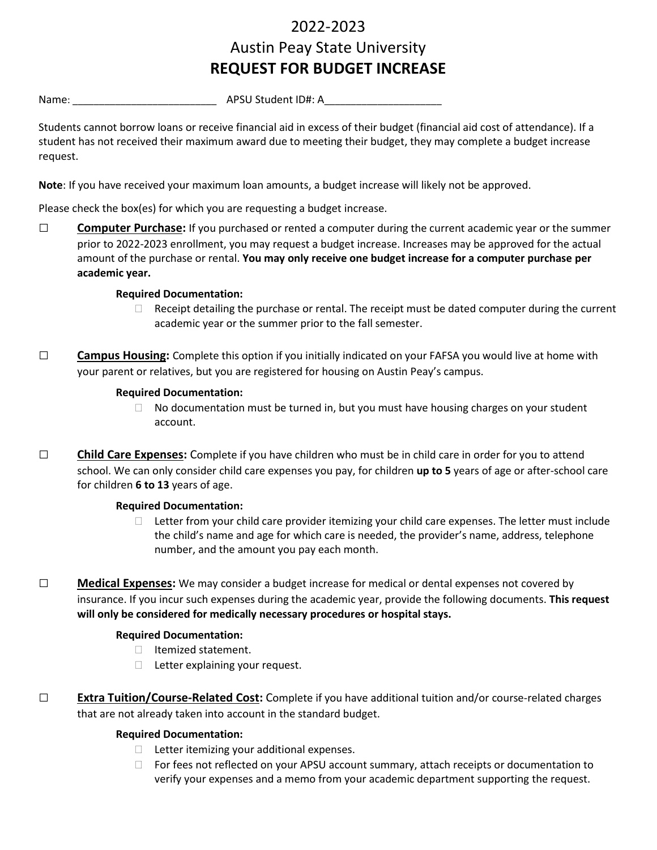# 2022-2023 Austin Peay State University **REQUEST FOR BUDGET INCREASE**

Name: \_\_\_\_\_\_\_\_\_\_\_\_\_\_\_\_\_\_\_\_\_\_\_\_\_\_\_ APSU Student ID#: A\_\_\_\_\_\_\_\_\_\_\_\_\_\_\_\_\_\_\_\_\_\_

Students cannot borrow loans or receive financial aid in excess of their budget (financial aid cost of attendance). If a student has not received their maximum award due to meeting their budget, they may complete a budget increase request.

**Note**: If you have received your maximum loan amounts, a budget increase will likely not be approved.

Please check the box(es) for which you are requesting a budget increase.

□ **Computer Purchase:** If you purchased or rented a computer during the current academic year or the summer prior to 2022-2023 enrollment, you may request a budget increase. Increases may be approved for the actual amount of the purchase or rental. **You may only receive one budget increase for a computer purchase per academic year.**

# **Required Documentation:**

- $\Box$  Receipt detailing the purchase or rental. The receipt must be dated computer during the current academic year or the summer prior to the fall semester.
- □ **Campus Housing:** Complete this option if you initially indicated on your FAFSA you would live at home with your parent or relatives, but you are registered for housing on Austin Peay's campus.

## **Required Documentation:**

- $\Box$  No documentation must be turned in, but you must have housing charges on your student account.
- □ **Child Care Expenses:** Complete if you have children who must be in child care in order for you to attend school. We can only consider child care expenses you pay, for children **up to 5** years of age or after-school care for children **6 to 13** years of age.

## **Required Documentation:**

- $\Box$  Letter from your child care provider itemizing your child care expenses. The letter must include the child's name and age for which care is needed, the provider's name, address, telephone number, and the amount you pay each month.
- □ **Medical Expenses:** We may consider a budget increase for medical or dental expenses not covered by insurance. If you incur such expenses during the academic year, provide the following documents. **This request will only be considered for medically necessary procedures or hospital stays.**

# **Required Documentation:**

- $\Box$  Itemized statement.
- $\Box$  Letter explaining your request.
- □ **Extra Tuition/Course-Related Cost:** Complete if you have additional tuition and/or course-related charges that are not already taken into account in the standard budget.

## **Required Documentation:**

- $\Box$  Letter itemizing your additional expenses.
- $\Box$  For fees not reflected on your APSU account summary, attach receipts or documentation to verify your expenses and a memo from your academic department supporting the request.